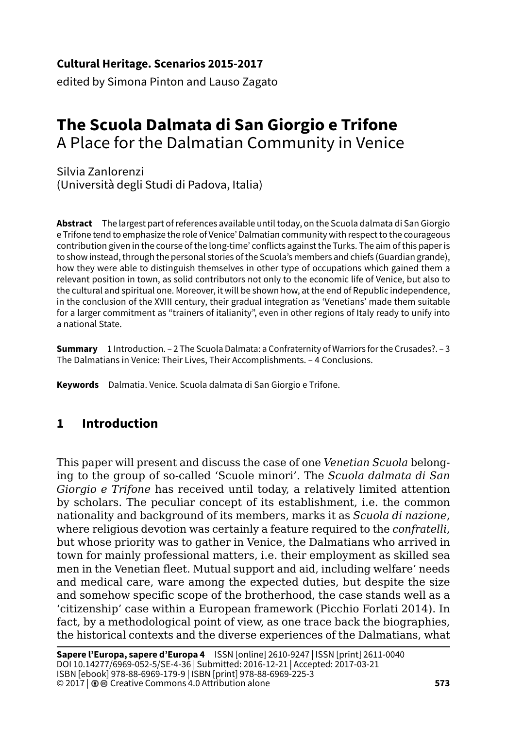**Cultural Heritage. Scenarios 2015-2017**

edited by Simona Pinton and Lauso Zagato

# **The Scuola Dalmata di San Giorgio e Trifone** A Place for the Dalmatian Community in Venice

Silvia Zanlorenzi (Università degli Studi di Padova, Italia)

**Abstract** The largest part of references available until today, on the Scuola dalmata di San Giorgio e Trifone tend to emphasize the role of Venice' Dalmatian community with respect to the courageous contribution given in the course of the long-time' conflicts against the Turks. The aim of this paper is to show instead, through the personal stories of the Scuola's members and chiefs (Guardian grande), how they were able to distinguish themselves in other type of occupations which gained them a relevant position in town, as solid contributors not only to the economic life of Venice, but also to the cultural and spiritual one. Moreover, it will be shown how, at the end of Republic independence, in the conclusion of the XVIII century, their gradual integration as 'Venetians' made them suitable for a larger commitment as "trainers of italianity", even in other regions of Italy ready to unify into a national State.

**Summary** 1 Introduction. – 2 The Scuola Dalmata: a Confraternity of Warriors for the Crusades?. – 3 The Dalmatians in Venice: Their Lives, Their Accomplishments. – 4 Conclusions.

**Keywords** Dalmatia. Venice. Scuola dalmata di San Giorgio e Trifone.

# **1 Introduction**

This paper will present and discuss the case of one *Venetian Scuola* belonging to the group of so-called 'Scuole minori'. The *Scuola dalmata di San Giorgio e Trifone* has received until today, a relatively limited attention by scholars. The peculiar concept of its establishment, i.e. the common nationality and background of its members, marks it as *Scuola di nazione*, where religious devotion was certainly a feature required to the *confratelli*, but whose priority was to gather in Venice, the Dalmatians who arrived in town for mainly professional matters, i.e. their employment as skilled sea men in the Venetian fleet. Mutual support and aid, including welfare' needs and medical care, ware among the expected duties, but despite the size and somehow specific scope of the brotherhood, the case stands well as a 'citizenship' case within a European framework (Picchio Forlati 2014). In fact, by a methodological point of view, as one trace back the biographies, the historical contexts and the diverse experiences of the Dalmatians, what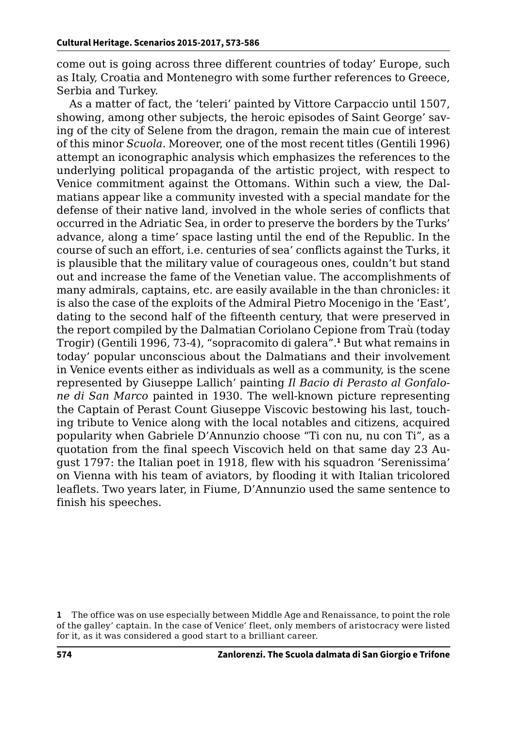come out is going across three different countries of today' Europe, such as Italy, Croatia and Montenegro with some further references to Greece, Serbia and Turkey.

As a matter of fact, the 'teleri' painted by Vittore Carpaccio until 1507, showing, among other subjects, the heroic episodes of Saint George' saving of the city of Selene from the dragon, remain the main cue of interest of this minor *Scuola*. Moreover, one of the most recent titles (Gentili 1996) attempt an iconographic analysis which emphasizes the references to the underlying political propaganda of the artistic project, with respect to Venice commitment against the Ottomans. Within such a view, the Dalmatians appear like a community invested with a special mandate for the defense of their native land, involved in the whole series of conflicts that occurred in the Adriatic Sea, in order to preserve the borders by the Turks' advance, along a time' space lasting until the end of the Republic. In the course of such an effort, i.e. centuries of sea' conflicts against the Turks, it is plausible that the military value of courageous ones, couldn't but stand out and increase the fame of the Venetian value. The accomplishments of many admirals, captains, etc. are easily available in the than chronicles: it is also the case of the exploits of the Admiral Pietro Mocenigo in the 'East', dating to the second half of the fifteenth century, that were preserved in the report compiled by the Dalmatian Coriolano Cepione from Traù (today Trogir) (Gentili 1996, 73-4), "sopracomito di galera".**<sup>1</sup>** But what remains in today' popular unconscious about the Dalmatians and their involvement in Venice events either as individuals as well as a community, is the scene represented by Giuseppe Lallich' painting *Il Bacio di Perasto al Gonfalone di San Marco* painted in 1930. The well-known picture representing the Captain of Perast Count Giuseppe Viscovic bestowing his last, touching tribute to Venice along with the local notables and citizens, acquired popularity when Gabriele D'Annunzio choose "Ti con nu, nu con Ti", as a quotation from the final speech Viscovich held on that same day 23 August 1797: the Italian poet in 1918, flew with his squadron 'Serenissima' on Vienna with his team of aviators, by flooding it with Italian tricolored leaflets. Two years later, in Fiume, D'Annunzio used the same sentence to finish his speeches.

**<sup>1</sup>** The office was on use especially between Middle Age and Renaissance, to point the role of the galley' captain. In the case of Venice' fleet, only members of aristocracy were listed for it, as it was considered a good start to a brilliant career.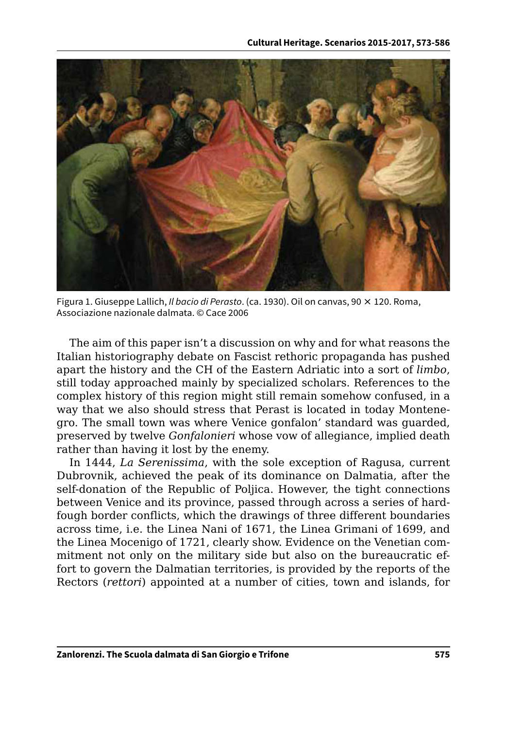

Figura 1. Giuseppe Lallich, *Il bacio di Perasto*. (ca. 1930). Oil on canvas, 90 × 120. Roma, Associazione nazionale dalmata. © Cace 2006

The aim of this paper isn't a discussion on why and for what reasons the Italian historiography debate on Fascist rethoric propaganda has pushed apart the history and the CH of the Eastern Adriatic into a sort of *limbo*, still today approached mainly by specialized scholars. References to the complex history of this region might still remain somehow confused, in a way that we also should stress that Perast is located in today Montenegro. The small town was where Venice gonfalon' standard was guarded, preserved by twelve *Gonfalonieri* whose vow of allegiance, implied death rather than having it lost by the enemy.

In 1444, *La Serenissima*, with the sole exception of Ragusa, current Dubrovnik, achieved the peak of its dominance on Dalmatia, after the self-donation of the Republic of Poljica. However, the tight connections between Venice and its province, passed through across a series of hardfough border conflicts, which the drawings of three different boundaries across time, i.e. the Linea Nani of 1671, the Linea Grimani of 1699, and the Linea Mocenigo of 1721, clearly show. Evidence on the Venetian commitment not only on the military side but also on the bureaucratic effort to govern the Dalmatian territories, is provided by the reports of the Rectors (*rettori*) appointed at a number of cities, town and islands, for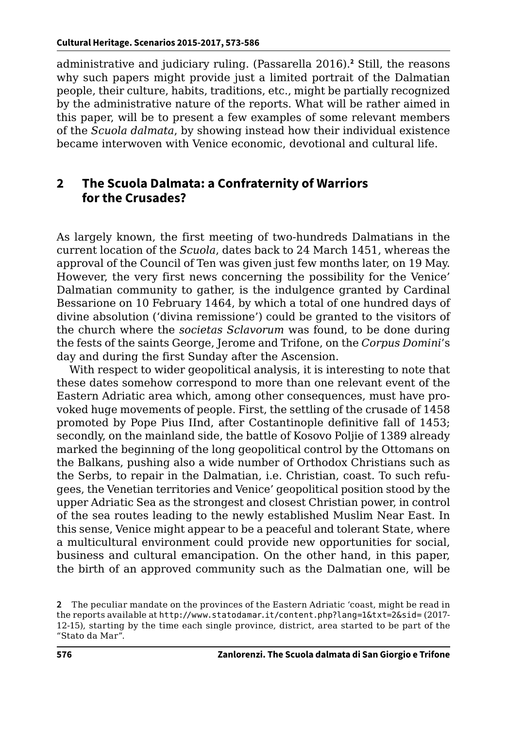administrative and judiciary ruling. (Passarella 2016).**<sup>2</sup>** Still, the reasons why such papers might provide just a limited portrait of the Dalmatian people, their culture, habits, traditions, etc., might be partially recognized by the administrative nature of the reports. What will be rather aimed in this paper, will be to present a few examples of some relevant members of the *Scuola dalmata*, by showing instead how their individual existence became interwoven with Venice economic, devotional and cultural life.

### **2 The Scuola Dalmata: a Confraternity of Warriors for the Crusades?**

As largely known, the first meeting of two-hundreds Dalmatians in the current location of the *Scuola*, dates back to 24 March 1451, whereas the approval of the Council of Ten was given just few months later, on 19 May. However, the very first news concerning the possibility for the Venice' Dalmatian community to gather, is the indulgence granted by Cardinal Bessarione on 10 February 1464, by which a total of one hundred days of divine absolution ('divina remissione') could be granted to the visitors of the church where the *societas Sclavorum* was found, to be done during the fests of the saints George, Jerome and Trifone, on the *Corpus Domini*'s day and during the first Sunday after the Ascension.

With respect to wider geopolitical analysis, it is interesting to note that these dates somehow correspond to more than one relevant event of the Eastern Adriatic area which, among other consequences, must have provoked huge movements of people. First, the settling of the crusade of 1458 promoted by Pope Pius IInd, after Costantinople definitive fall of 1453; secondly, on the mainland side, the battle of Kosovo Poljie of 1389 already marked the beginning of the long geopolitical control by the Ottomans on the Balkans, pushing also a wide number of Orthodox Christians such as the Serbs, to repair in the Dalmatian, i.e. Christian, coast. To such refugees, the Venetian territories and Venice' geopolitical position stood by the upper Adriatic Sea as the strongest and closest Christian power, in control of the sea routes leading to the newly established Muslim Near East. In this sense, Venice might appear to be a peaceful and tolerant State, where a multicultural environment could provide new opportunities for social, business and cultural emancipation. On the other hand, in this paper, the birth of an approved community such as the Dalmatian one, will be

**<sup>2</sup>** The peculiar mandate on the provinces of the Eastern Adriatic 'coast, might be read in the reports available at <http://www.statodamar.it/content.php?lang=1&txt=2&sid=> (2017- 12-15), starting by the time each single province, district, area started to be part of the "Stato da Mar".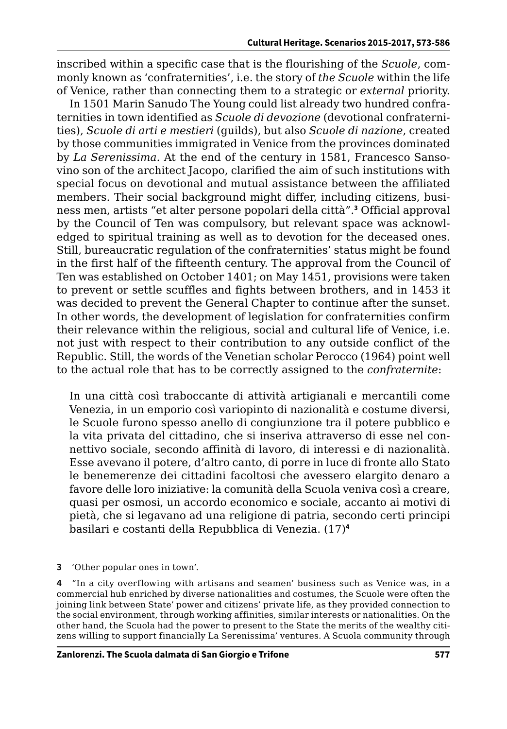inscribed within a specific case that is the flourishing of the *Scuole*, commonly known as 'confraternities', i.e. the story of *the Scuole* within the life of Venice, rather than connecting them to a strategic or *external* priority.

In 1501 Marin Sanudo The Young could list already two hundred confraternities in town identified as *Scuole di devozione* (devotional confraternities), *Scuole di arti e mestieri* (guilds), but also *Scuole di nazione*, created by those communities immigrated in Venice from the provinces dominated by *La Serenissima*. At the end of the century in 1581, Francesco Sansovino son of the architect Jacopo, clarified the aim of such institutions with special focus on devotional and mutual assistance between the affiliated members. Their social background might differ, including citizens, business men, artists "et alter persone popolari della città".**<sup>3</sup>** Official approval by the Council of Ten was compulsory, but relevant space was acknowledged to spiritual training as well as to devotion for the deceased ones. Still, bureaucratic regulation of the confraternities' status might be found in the first half of the fifteenth century. The approval from the Council of Ten was established on October 1401; on May 1451, provisions were taken to prevent or settle scuffles and fights between brothers, and in 1453 it was decided to prevent the General Chapter to continue after the sunset. In other words, the development of legislation for confraternities confirm their relevance within the religious, social and cultural life of Venice, i.e. not just with respect to their contribution to any outside conflict of the Republic. Still, the words of the Venetian scholar Perocco (1964) point well to the actual role that has to be correctly assigned to the *confraternite*:

In una città così traboccante di attività artigianali e mercantili come Venezia, in un emporio così variopinto di nazionalità e costume diversi, le Scuole furono spesso anello di congiunzione tra il potere pubblico e la vita privata del cittadino, che si inseriva attraverso di esse nel connettivo sociale, secondo affinità di lavoro, di interessi e di nazionalità. Esse avevano il potere, d'altro canto, di porre in luce di fronte allo Stato le benemerenze dei cittadini facoltosi che avessero elargito denaro a favore delle loro iniziative: la comunità della Scuola veniva così a creare, quasi per osmosi, un accordo economico e sociale, accanto ai motivi di pietà, che si legavano ad una religione di patria, secondo certi principi basilari e costanti della Repubblica di Venezia. (17)**<sup>4</sup>**

**3** 'Other popular ones in town'.

**4** "In a city overflowing with artisans and seamen' business such as Venice was, in a commercial hub enriched by diverse nationalities and costumes, the Scuole were often the joining link between State' power and citizens' private life, as they provided connection to the social environment, through working affinities, similar interests or nationalities. On the other hand, the Scuola had the power to present to the State the merits of the wealthy citizens willing to support financially La Serenissima' ventures. A Scuola community through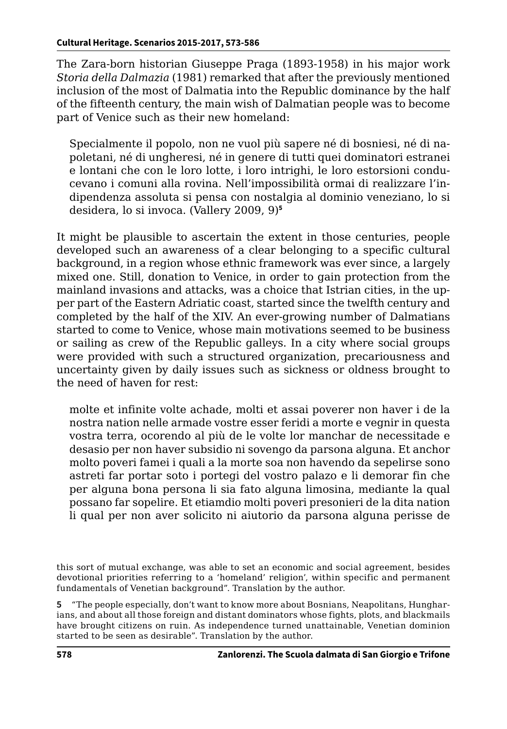The Zara-born historian Giuseppe Praga (1893-1958) in his major work *Storia della Dalmazia* (1981) remarked that after the previously mentioned inclusion of the most of Dalmatia into the Republic dominance by the half of the fifteenth century, the main wish of Dalmatian people was to become part of Venice such as their new homeland:

Specialmente il popolo, non ne vuol più sapere né di bosniesi, né di napoletani, né di ungheresi, né in genere di tutti quei dominatori estranei e lontani che con le loro lotte, i loro intrighi, le loro estorsioni conducevano i comuni alla rovina. Nell'impossibilità ormai di realizzare l'indipendenza assoluta si pensa con nostalgia al dominio veneziano, lo si desidera, lo si invoca. (Vallery 2009, 9)**<sup>5</sup>**

It might be plausible to ascertain the extent in those centuries, people developed such an awareness of a clear belonging to a specific cultural background, in a region whose ethnic framework was ever since, a largely mixed one. Still, donation to Venice, in order to gain protection from the mainland invasions and attacks, was a choice that Istrian cities, in the upper part of the Eastern Adriatic coast, started since the twelfth century and completed by the half of the XIV. An ever-growing number of Dalmatians started to come to Venice, whose main motivations seemed to be business or sailing as crew of the Republic galleys. In a city where social groups were provided with such a structured organization, precariousness and uncertainty given by daily issues such as sickness or oldness brought to the need of haven for rest:

molte et infinite volte achade, molti et assai poverer non haver i de la nostra nation nelle armade vostre esser feridi a morte e vegnir in questa vostra terra, ocorendo al più de le volte lor manchar de necessitade e desasio per non haver subsidio ni sovengo da parsona alguna. Et anchor molto poveri famei i quali a la morte soa non havendo da sepelirse sono astreti far portar soto i portegi del vostro palazo e li demorar fin che per alguna bona persona li sia fato alguna limosina, mediante la qual possano far sopelire. Et etiamdio molti poveri presonieri de la dita nation li qual per non aver solicito ni aiutorio da parsona alguna perisse de

this sort of mutual exchange, was able to set an economic and social agreement, besides devotional priorities referring to a 'homeland' religion', within specific and permanent fundamentals of Venetian background". Translation by the author.

**<sup>5</sup>** "The people especially, don't want to know more about Bosnians, Neapolitans, Hungharians, and about all those foreign and distant dominators whose fights, plots, and blackmails have brought citizens on ruin. As independence turned unattainable, Venetian dominion started to be seen as desirable". Translation by the author.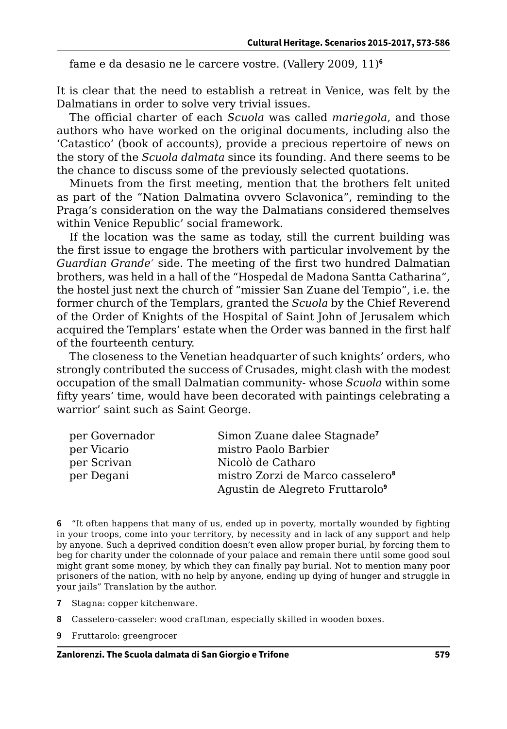fame e da desasio ne le carcere vostre. (Vallery 2009, 11)**<sup>6</sup>**

It is clear that the need to establish a retreat in Venice, was felt by the Dalmatians in order to solve very trivial issues.

The official charter of each *Scuola* was called *mariegola*, and those authors who have worked on the original documents, including also the 'Catastico' (book of accounts), provide a precious repertoire of news on the story of the *Scuola dalmata* since its founding. And there seems to be the chance to discuss some of the previously selected quotations.

Minuets from the first meeting, mention that the brothers felt united as part of the "Nation Dalmatina ovvero Sclavonica", reminding to the Praga's consideration on the way the Dalmatians considered themselves within Venice Republic' social framework.

If the location was the same as today, still the current building was the first issue to engage the brothers with particular involvement by the *Guardian Grande'* side. The meeting of the first two hundred Dalmatian brothers, was held in a hall of the "Hospedal de Madona Santta Catharina", the hostel just next the church of "missier San Zuane del Tempio", i.e. the former church of the Templars, granted the *Scuola* by the Chief Reverend of the Order of Knights of the Hospital of Saint John of Jerusalem which acquired the Templars' estate when the Order was banned in the first half of the fourteenth century.

The closeness to the Venetian headquarter of such knights' orders, who strongly contributed the success of Crusades, might clash with the modest occupation of the small Dalmatian community- whose *Scuola* within some fifty years' time, would have been decorated with paintings celebrating a warrior' saint such as Saint George.

| per Governador | Simon Zuane dalee Stagnade <sup>7</sup>      |
|----------------|----------------------------------------------|
| per Vicario    | mistro Paolo Barbier                         |
| per Scrivan    | Nicolò de Catharo                            |
| per Degani     | mistro Zorzi de Marco casselero <sup>8</sup> |
|                | Agustin de Alegreto Fruttarolo <sup>9</sup>  |

**6** "It often happens that many of us, ended up in poverty, mortally wounded by fighting in your troops, come into your territory, by necessity and in lack of any support and help by anyone. Such a deprived condition doesn't even allow proper burial, by forcing them to beg for charity under the colonnade of your palace and remain there until some good soul might grant some money, by which they can finally pay burial. Not to mention many poor prisoners of the nation, with no help by anyone, ending up dying of hunger and struggle in your jails" Translation by the author.

- **7** Stagna: copper kitchenware.
- **8** Casselero-casseler: wood craftman, especially skilled in wooden boxes.
- **9** Fruttarolo: greengrocer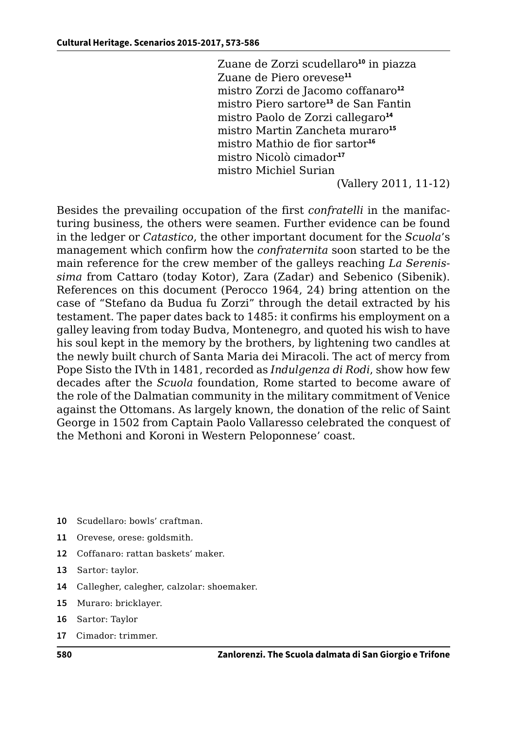Zuane de Zorzi scudellaro**<sup>10</sup>** in piazza Zuane de Piero orevese**<sup>11</sup>** mistro Zorzi de Jacomo coffanaro**<sup>12</sup>** mistro Piero sartore**<sup>13</sup>** de San Fantin mistro Paolo de Zorzi callegaro**<sup>14</sup>** mistro Martin Zancheta muraro**<sup>15</sup>** mistro Mathio de fior sartor**<sup>16</sup>** mistro Nicolò cimador**<sup>17</sup>** mistro Michiel Surian

(Vallery 2011, 11-12)

Besides the prevailing occupation of the first *confratelli* in the manifacturing business, the others were seamen. Further evidence can be found in the ledger or *Catastico*, the other important document for the *Scuola*'s management which confirm how the *confraternita* soon started to be the main reference for the crew member of the galleys reaching *La Serenissima* from Cattaro (today Kotor), Zara (Zadar) and Sebenico (Sibenik). References on this document (Perocco 1964, 24) bring attention on the case of "Stefano da Budua fu Zorzi" through the detail extracted by his testament. The paper dates back to 1485: it confirms his employment on a galley leaving from today Budva, Montenegro, and quoted his wish to have his soul kept in the memory by the brothers, by lightening two candles at the newly built church of Santa Maria dei Miracoli. The act of mercy from Pope Sisto the IVth in 1481, recorded as *Indulgenza di Rodi*, show how few decades after the *Scuola* foundation, Rome started to become aware of the role of the Dalmatian community in the military commitment of Venice against the Ottomans. As largely known, the donation of the relic of Saint George in 1502 from Captain Paolo Vallaresso celebrated the conquest of the Methoni and Koroni in Western Peloponnese' coast.

- **10** Scudellaro: bowls' craftman.
- **11** Orevese, orese: goldsmith.
- **12** Coffanaro: rattan baskets' maker.
- **13** Sartor: taylor.
- **14** Callegher, calegher, calzolar: shoemaker.
- **15** Muraro: bricklayer.
- **16** Sartor: Taylor
- **17** Cimador: trimmer.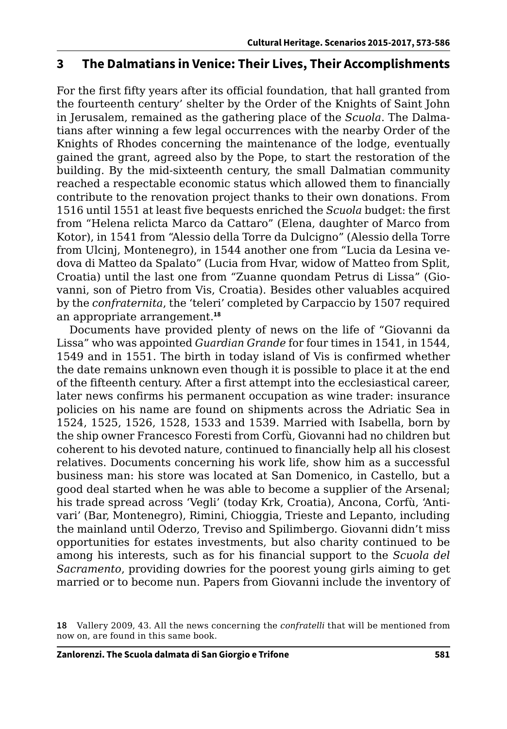## **3 The Dalmatians in Venice: Their Lives, Their Accomplishments**

For the first fifty years after its official foundation, that hall granted from the fourteenth century' shelter by the Order of the Knights of Saint John in Jerusalem, remained as the gathering place of the *Scuola*. The Dalmatians after winning a few legal occurrences with the nearby Order of the Knights of Rhodes concerning the maintenance of the lodge, eventually gained the grant, agreed also by the Pope, to start the restoration of the building. By the mid-sixteenth century, the small Dalmatian community reached a respectable economic status which allowed them to financially contribute to the renovation project thanks to their own donations. From 1516 until 1551 at least five bequests enriched the *Scuola* budget: the first from "Helena relicta Marco da Cattaro" (Elena, daughter of Marco from Kotor), in 1541 from "Alessio della Torre da Dulcigno" (Alessio della Torre from Ulcinj, Montenegro), in 1544 another one from "Lucia da Lesina vedova di Matteo da Spalato" (Lucia from Hvar, widow of Matteo from Split, Croatia) until the last one from "Zuanne quondam Petrus di Lissa" (Giovanni, son of Pietro from Vis, Croatia). Besides other valuables acquired by the *confraternita*, the 'teleri' completed by Carpaccio by 1507 required an appropriate arrangement.**<sup>18</sup>**

Documents have provided plenty of news on the life of "Giovanni da Lissa" who was appointed *Guardian Grande* for four times in 1541, in 1544, 1549 and in 1551. The birth in today island of Vis is confirmed whether the date remains unknown even though it is possible to place it at the end of the fifteenth century. After a first attempt into the ecclesiastical career, later news confirms his permanent occupation as wine trader: insurance policies on his name are found on shipments across the Adriatic Sea in 1524, 1525, 1526, 1528, 1533 and 1539. Married with Isabella, born by the ship owner Francesco Foresti from Corfù, Giovanni had no children but coherent to his devoted nature, continued to financially help all his closest relatives. Documents concerning his work life, show him as a successful business man: his store was located at San Domenico, in Castello, but a good deal started when he was able to become a supplier of the Arsenal; his trade spread across 'Vegli' (today Krk, Croatia), Ancona, Corfù, 'Antivari' (Bar, Montenegro), Rimini, Chioggia, Trieste and Lepanto, including the mainland until Oderzo, Treviso and Spilimbergo. Giovanni didn't miss opportunities for estates investments, but also charity continued to be among his interests, such as for his financial support to the *Scuola del Sacramento*, providing dowries for the poorest young girls aiming to get married or to become nun. Papers from Giovanni include the inventory of

**<sup>18</sup>** Vallery 2009, 43. All the news concerning the *confratelli* that will be mentioned from now on, are found in this same book.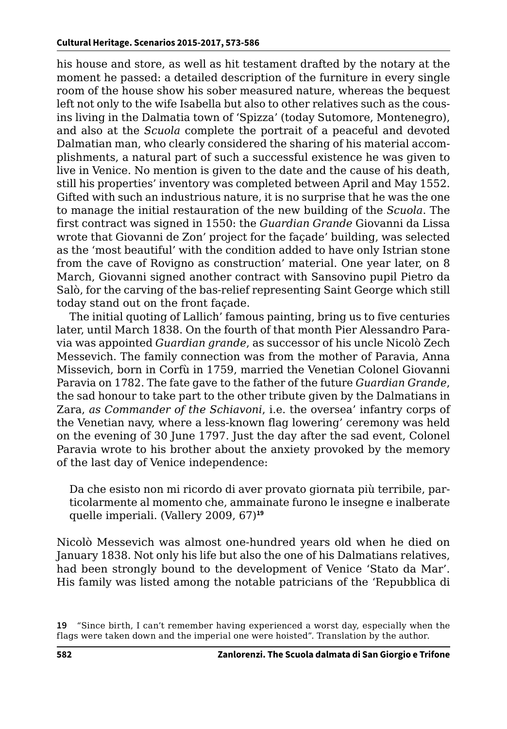his house and store, as well as hit testament drafted by the notary at the moment he passed: a detailed description of the furniture in every single room of the house show his sober measured nature, whereas the bequest left not only to the wife Isabella but also to other relatives such as the cousins living in the Dalmatia town of 'Spizza' (today Sutomore, Montenegro), and also at the *Scuola* complete the portrait of a peaceful and devoted Dalmatian man, who clearly considered the sharing of his material accomplishments, a natural part of such a successful existence he was given to live in Venice. No mention is given to the date and the cause of his death, still his properties' inventory was completed between April and May 1552. Gifted with such an industrious nature, it is no surprise that he was the one to manage the initial restauration of the new building of the *Scuola*. The first contract was signed in 1550: the *Guardian Grande* Giovanni da Lissa wrote that Giovanni de Zon' project for the façade' building, was selected as the 'most beautiful' with the condition added to have only Istrian stone from the cave of Rovigno as construction' material. One year later, on 8 March, Giovanni signed another contract with Sansovino pupil Pietro da Salò, for the carving of the bas-relief representing Saint George which still today stand out on the front façade.

The initial quoting of Lallich' famous painting, bring us to five centuries later, until March 1838. On the fourth of that month Pier Alessandro Paravia was appointed *Guardian grande*, as successor of his uncle Nicolò Zech Messevich. The family connection was from the mother of Paravia, Anna Missevich, born in Corfù in 1759, married the Venetian Colonel Giovanni Paravia on 1782. The fate gave to the father of the future *Guardian Grande*, the sad honour to take part to the other tribute given by the Dalmatians in Zara, *as Commander of the Schiavoni*, i.e. the oversea' infantry corps of the Venetian navy, where a less-known flag lowering' ceremony was held on the evening of 30 June 1797. Just the day after the sad event, Colonel Paravia wrote to his brother about the anxiety provoked by the memory of the last day of Venice independence:

Da che esisto non mi ricordo di aver provato giornata più terribile, particolarmente al momento che, ammainate furono le insegne e inalberate quelle imperiali. (Vallery 2009, 67)**<sup>19</sup>**

Nicolò Messevich was almost one-hundred years old when he died on January 1838. Not only his life but also the one of his Dalmatians relatives, had been strongly bound to the development of Venice 'Stato da Mar'. His family was listed among the notable patricians of the 'Repubblica di

**<sup>19</sup>** "Since birth, I can't remember having experienced a worst day, especially when the flags were taken down and the imperial one were hoisted". Translation by the author.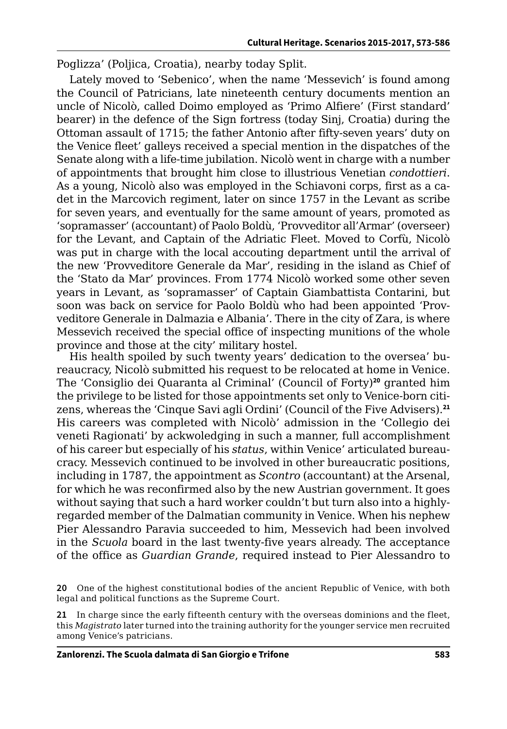Poglizza' (Poljica, Croatia), nearby today Split.

Lately moved to 'Sebenico', when the name 'Messevich' is found among the Council of Patricians, late nineteenth century documents mention an uncle of Nicolò, called Doimo employed as 'Primo Alfiere' (First standard' bearer) in the defence of the Sign fortress (today Sinj, Croatia) during the Ottoman assault of 1715; the father Antonio after fifty-seven years' duty on the Venice fleet' galleys received a special mention in the dispatches of the Senate along with a life-time jubilation. Nicolò went in charge with a number of appointments that brought him close to illustrious Venetian *condottieri*. As a young, Nicolò also was employed in the Schiavoni corps, first as a cadet in the Marcovich regiment, later on since 1757 in the Levant as scribe for seven years, and eventually for the same amount of years, promoted as 'sopramasser' (accountant) of Paolo Boldù, 'Provveditor all'Armar' (overseer) for the Levant, and Captain of the Adriatic Fleet. Moved to Corfù, Nicolò was put in charge with the local accouting department until the arrival of the new 'Provveditore Generale da Mar', residing in the island as Chief of the 'Stato da Mar' provinces. From 1774 Nicolò worked some other seven years in Levant, as 'sopramasser' of Captain Giambattista Contarini, but soon was back on service for Paolo Boldù who had been appointed 'Provveditore Generale in Dalmazia e Albania'. There in the city of Zara, is where Messevich received the special office of inspecting munitions of the whole province and those at the city' military hostel.

His health spoiled by such twenty years' dedication to the oversea' bureaucracy, Nicolò submitted his request to be relocated at home in Venice. The 'Consiglio dei Quaranta al Criminal' (Council of Forty)**<sup>20</sup>** granted him the privilege to be listed for those appointments set only to Venice-born citizens, whereas the 'Cinque Savi agli Ordini' (Council of the Five Advisers).**<sup>21</sup>** His careers was completed with Nicolò' admission in the 'Collegio dei veneti Ragionati' by ackwoledging in such a manner, full accomplishment of his career but especially of his *status*, within Venice' articulated bureaucracy. Messevich continued to be involved in other bureaucratic positions, including in 1787, the appointment as *Scontro* (accountant) at the Arsenal, for which he was reconfirmed also by the new Austrian government. It goes without saying that such a hard worker couldn't but turn also into a highlyregarded member of the Dalmatian community in Venice. When his nephew Pier Alessandro Paravia succeeded to him, Messevich had been involved in the *Scuola* board in the last twenty-five years already. The acceptance of the office as *Guardian Grande*, required instead to Pier Alessandro to

**<sup>20</sup>** One of the highest constitutional bodies of the ancient Republic of Venice, with both legal and political functions as the Supreme Court.

**<sup>21</sup>** In charge since the early fifteenth century with the overseas dominions and the fleet, this *Magistrato* later turned into the training authority for the younger service men recruited among Venice's patricians.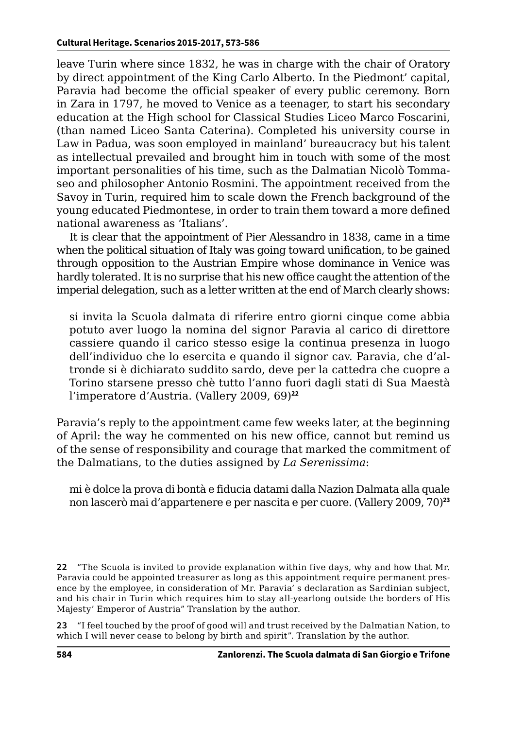leave Turin where since 1832, he was in charge with the chair of Oratory by direct appointment of the King Carlo Alberto. In the Piedmont' capital, Paravia had become the official speaker of every public ceremony. Born in Zara in 1797, he moved to Venice as a teenager, to start his secondary education at the High school for Classical Studies Liceo Marco Foscarini, (than named Liceo Santa Caterina). Completed his university course in Law in Padua, was soon employed in mainland' bureaucracy but his talent as intellectual prevailed and brought him in touch with some of the most important personalities of his time, such as the Dalmatian Nicolò Tommaseo and philosopher Antonio Rosmini. The appointment received from the Savoy in Turin, required him to scale down the French background of the young educated Piedmontese, in order to train them toward a more defined national awareness as 'Italians'.

It is clear that the appointment of Pier Alessandro in 1838, came in a time when the political situation of Italy was going toward unification, to be gained through opposition to the Austrian Empire whose dominance in Venice was hardly tolerated. It is no surprise that his new office caught the attention of the imperial delegation, such as a letter written at the end of March clearly shows:

si invita la Scuola dalmata di riferire entro giorni cinque come abbia potuto aver luogo la nomina del signor Paravia al carico di direttore cassiere quando il carico stesso esige la continua presenza in luogo dell'individuo che lo esercita e quando il signor cav. Paravia, che d'altronde si è dichiarato suddito sardo, deve per la cattedra che cuopre a Torino starsene presso chè tutto l'anno fuori dagli stati di Sua Maestà l'imperatore d'Austria. (Vallery 2009, 69)**<sup>22</sup>**

Paravia's reply to the appointment came few weeks later, at the beginning of April: the way he commented on his new office, cannot but remind us of the sense of responsibility and courage that marked the commitment of the Dalmatians, to the duties assigned by *La Serenissima*:

mi è dolce la prova di bontà e fiducia datami dalla Nazion Dalmata alla quale non lascerò mai d'appartenere e per nascita e per cuore. (Vallery 2009, 70)**<sup>23</sup>**

**22** "The Scuola is invited to provide explanation within five days, why and how that Mr. Paravia could be appointed treasurer as long as this appointment require permanent presence by the employee, in consideration of Mr. Paravia' s declaration as Sardinian subject, and his chair in Turin which requires him to stay all-yearlong outside the borders of His Majesty' Emperor of Austria" Translation by the author.

**23** "I feel touched by the proof of good will and trust received by the Dalmatian Nation, to which I will never cease to belong by birth and spirit". Translation by the author.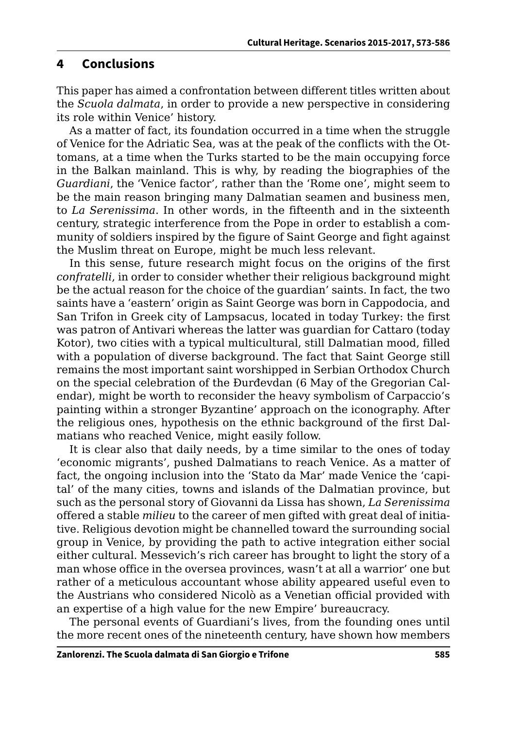#### **4 Conclusions**

This paper has aimed a confrontation between different titles written about the *Scuola dalmata*, in order to provide a new perspective in considering its role within Venice' history.

As a matter of fact, its foundation occurred in a time when the struggle of Venice for the Adriatic Sea, was at the peak of the conflicts with the Ottomans, at a time when the Turks started to be the main occupying force in the Balkan mainland. This is why, by reading the biographies of the *Guardiani*, the 'Venice factor', rather than the 'Rome one', might seem to be the main reason bringing many Dalmatian seamen and business men, to *La Serenissima*. In other words, in the fifteenth and in the sixteenth century, strategic interference from the Pope in order to establish a community of soldiers inspired by the figure of Saint George and fight against the Muslim threat on Europe, might be much less relevant.

In this sense, future research might focus on the origins of the first *confratelli*, in order to consider whether their religious background might be the actual reason for the choice of the guardian' saints. In fact, the two saints have a 'eastern' origin as Saint George was born in Cappodocia, and San Trifon in Greek city of Lampsacus, located in today Turkey: the first was patron of Antivari whereas the latter was guardian for Cattaro (today Kotor), two cities with a typical multicultural, still Dalmatian mood, filled with a population of diverse background. The fact that Saint George still remains the most important saint worshipped in Serbian Orthodox Church on the special celebration of the Đurđevdan (6 May of the Gregorian Calendar), might be worth to reconsider the heavy symbolism of Carpaccio's painting within a stronger Byzantine' approach on the iconography. After the religious ones, hypothesis on the ethnic background of the first Dalmatians who reached Venice, might easily follow.

It is clear also that daily needs, by a time similar to the ones of today 'economic migrants', pushed Dalmatians to reach Venice. As a matter of fact, the ongoing inclusion into the 'Stato da Mar' made Venice the 'capital' of the many cities, towns and islands of the Dalmatian province, but such as the personal story of Giovanni da Lissa has shown, *La Serenissima* offered a stable *milieu* to the career of men gifted with great deal of initiative. Religious devotion might be channelled toward the surrounding social group in Venice, by providing the path to active integration either social either cultural. Messevich's rich career has brought to light the story of a man whose office in the oversea provinces, wasn't at all a warrior' one but rather of a meticulous accountant whose ability appeared useful even to the Austrians who considered Nicolò as a Venetian official provided with an expertise of a high value for the new Empire' bureaucracy.

The personal events of Guardiani's lives, from the founding ones until the more recent ones of the nineteenth century, have shown how members